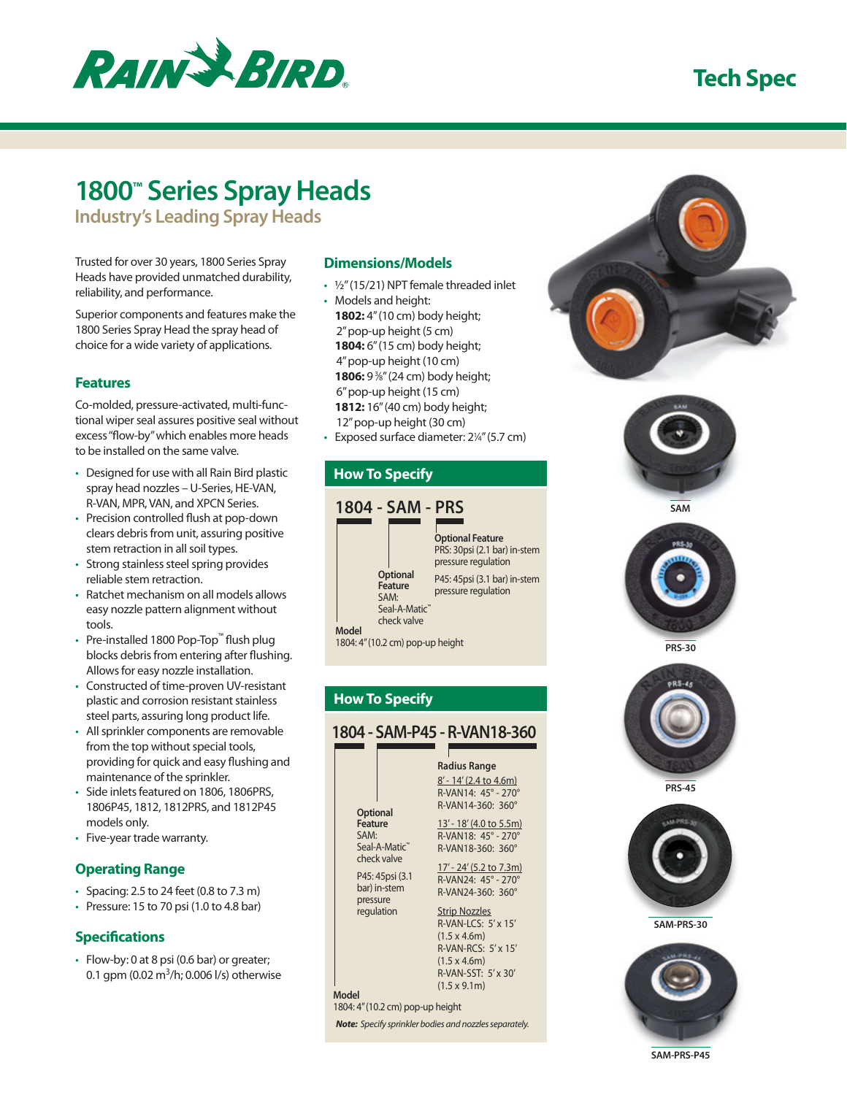

# **Tech Spec**

# **1800™ Series Spray Heads**

**Industry's Leading Spray Heads**

Trusted for over 30 years, 1800 Series Spray Heads have provided unmatched durability, reliability, and performance.

Superior components and features make the 1800 Series Spray Head the spray head of choice for a wide variety of applications.

### **Features**

Co-molded, pressure-activated, multi-functional wiper seal assures positive seal without excess "flow-by" which enables more heads to be installed on the same valve.

- Designed for use with all Rain Bird plastic spray head nozzles – U-Series, HE-VAN, R-VAN, MPR, VAN, and XPCN Series.
- Precision controlled flush at pop-down clears debris from unit, assuring positive stem retraction in all soil types.
- Strong stainless steel spring provides reliable stem retraction.
- Ratchet mechanism on all models allows easy nozzle pattern alignment without tools.
- Pre-installed 1800 Pop-Top™ flush plug blocks debris from entering after flushing. Allows for easy nozzle installation.
- Constructed of time-proven UV-resistant plastic and corrosion resistant stainless steel parts, assuring long product life.
- All sprinkler components are removable from the top without special tools, providing for quick and easy flushing and maintenance of the sprinkler.
- Side inlets featured on 1806, 1806PRS, 1806P45, 1812, 1812PRS, and 1812P45 models only.
- Five-year trade warranty.

## **Operating Range**

- Spacing: 2.5 to 24 feet (0.8 to 7.3 m)
- Pressure: 15 to 70 psi (1.0 to 4.8 bar)

## **Specifications**

• Flow-by: 0 at 8 psi (0.6 bar) or greater; 0.1 gpm (0.02 m<sup>3</sup>/h; 0.006 l/s) otherwise

## **Dimensions/Models**

- ½" (15/21) NPT female threaded inlet
- Models and height: **1802:** 4" (10 cm) body height; 2" pop-up height (5 cm) **1804:** 6" (15 cm) body height; 4" pop-up height (10 cm) **1806:** 9 <sup>3</sup> ⁄8" (24 cm) body height; 6" pop-up height (15 cm) **1812:** 16" (40 cm) body height; 12" pop-up height (30 cm)
- Exposed surface diameter: 2<sup>1/4"</sup> (5.7 cm)

## **How To Specify**













**PRS-30**



**PRS-45**



**SAM-PRS-30**



**SAM-PRS-P45**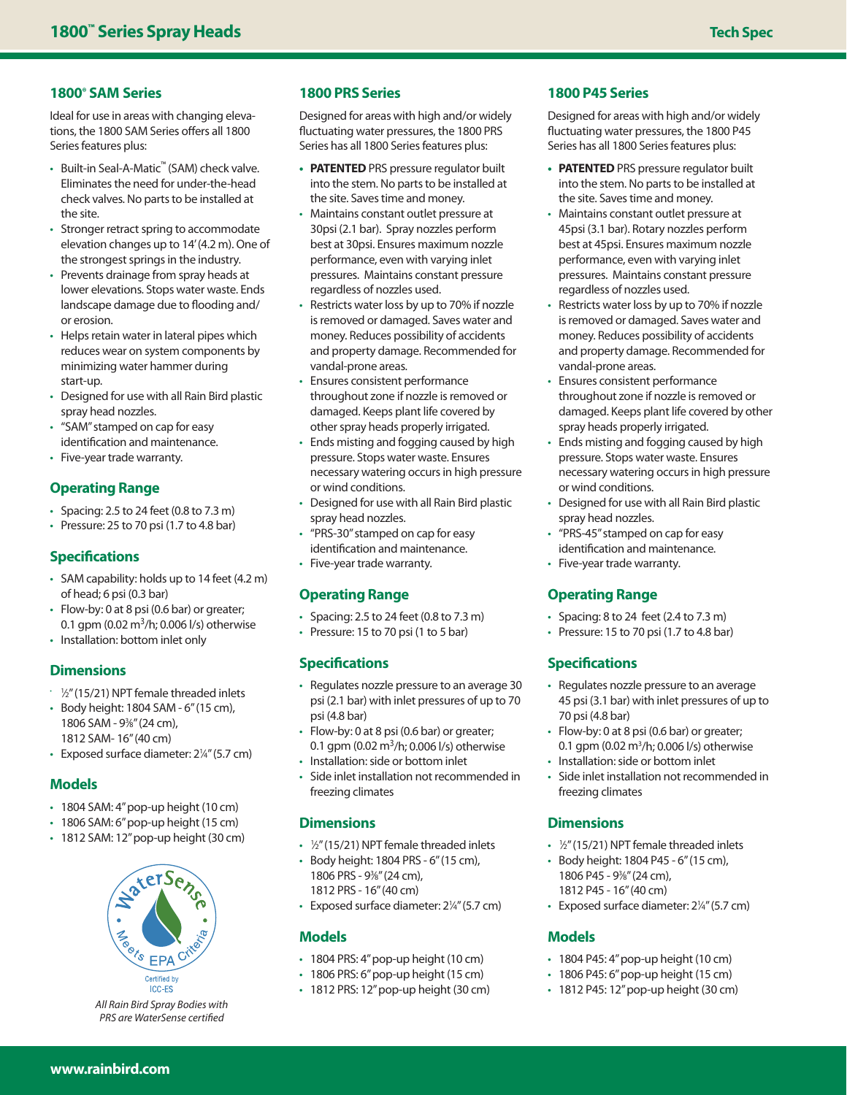## **1800® SAM Series**

Ideal for use in areas with changing elevations, the 1800 SAM Series offers all 1800 Series features plus:

- Built-in Seal-A-Matic™ (SAM) check valve. Eliminates the need for under-the-head check valves. No parts to be installed at the site.
- Stronger retract spring to accommodate elevation changes up to 14' (4.2 m). One of the strongest springs in the industry.
- Prevents drainage from spray heads at lower elevations. Stops water waste. Ends landscape damage due to flooding and/ or erosion.
- Helps retain water in lateral pipes which reduces wear on system components by minimizing water hammer during start-up.
- Designed for use with all Rain Bird plastic spray head nozzles.
- "SAM" stamped on cap for easy identification and maintenance.
- Five-year trade warranty.

## **Operating Range**

- Spacing: 2.5 to 24 feet (0.8 to 7.3 m)
- Pressure: 25 to 70 psi (1.7 to 4.8 bar)

## **Specifications**

- SAM capability: holds up to 14 feet (4.2 m) of head; 6 psi (0.3 bar)
- Flow-by: 0 at 8 psi (0.6 bar) or greater; 0.1 gpm  $(0.02 \text{ m}^3/\text{h})$ ; 0.006  $1/\text{s}$ ) otherwise
- Installation: bottom inlet only

## **Dimensions**

- $\frac{1}{2}$  (15/21) NPT female threaded inlets
- Body height: 1804 SAM 6" (15 cm), 1806 SAM - 93 ⁄8" (24 cm), 1812 SAM- 16" (40 cm)
- Exposed surface diameter: 21/4" (5.7 cm)

#### **Models**

- 1804 SAM: 4" pop-up height (10 cm)
- 1806 SAM: 6" pop-up height (15 cm)
- 1812 SAM: 12" pop-up height (30 cm)



*All Rain Bird Spray Bodies with PRS are WaterSense certified* 

#### **1800 PRS Series**

Designed for areas with high and/or widely fluctuating water pressures, the 1800 PRS Series has all 1800 Series features plus:

- **• PATENTED** PRS pressure regulator built into the stem. No parts to be installed at the site. Saves time and money.
- Maintains constant outlet pressure at 30psi (2.1 bar). Spray nozzles perform best at 30psi. Ensures maximum nozzle performance, even with varying inlet pressures. Maintains constant pressure regardless of nozzles used.
- Restricts water loss by up to 70% if nozzle is removed or damaged. Saves water and money. Reduces possibility of accidents and property damage. Recommended for vandal-prone areas.
- Ensures consistent performance throughout zone if nozzle is removed or damaged. Keeps plant life covered by other spray heads properly irrigated.
- Ends misting and fogging caused by high pressure. Stops water waste. Ensures necessary watering occurs in high pressure or wind conditions.
- Designed for use with all Rain Bird plastic spray head nozzles.
- "PRS-30" stamped on cap for easy identification and maintenance.
- Five-year trade warranty.

#### **Operating Range**

- Spacing: 2.5 to 24 feet (0.8 to 7.3 m)
- Pressure: 15 to 70 psi (1 to 5 bar)

## **Specifications**

- Regulates nozzle pressure to an average 30 psi (2.1 bar) with inlet pressures of up to 70 psi (4.8 bar)
- Flow-by: 0 at 8 psi (0.6 bar) or greater; 0.1 gpm (0.02 m<sup>3</sup>/h; 0.006 l/s) otherwise
- Installation: side or bottom inlet
- Side inlet installation not recommended in freezing climates

#### **Dimensions**

- 1/2" (15/21) NPT female threaded inlets
- Body height: 1804 PRS 6" (15 cm), 1806 PRS - 93 ⁄8" (24 cm), 1812 PRS - 16" (40 cm)
- Exposed surface diameter: 21/4" (5.7 cm)

#### **Models**

- 1804 PRS: 4" pop-up height (10 cm)
- 1806 PRS: 6" pop-up height (15 cm)
- 1812 PRS: 12" pop-up height (30 cm)

### **1800 P45 Series**

Designed for areas with high and/or widely fluctuating water pressures, the 1800 P45 Series has all 1800 Series features plus:

- **• PATENTED** PRS pressure regulator built into the stem. No parts to be installed at the site. Saves time and money.
- Maintains constant outlet pressure at 45psi (3.1 bar). Rotary nozzles perform best at 45psi. Ensures maximum nozzle performance, even with varying inlet pressures. Maintains constant pressure regardless of nozzles used.
- Restricts water loss by up to 70% if nozzle is removed or damaged. Saves water and money. Reduces possibility of accidents and property damage. Recommended for vandal-prone areas.
- Ensures consistent performance throughout zone if nozzle is removed or damaged. Keeps plant life covered by other spray heads properly irrigated.
- Ends misting and fogging caused by high pressure. Stops water waste. Ensures necessary watering occurs in high pressure or wind conditions.
- Designed for use with all Rain Bird plastic spray head nozzles.
- "PRS-45" stamped on cap for easy
- identification and maintenance.
- Five-year trade warranty.

## **Operating Range**

- Spacing: 8 to 24 feet (2.4 to 7.3 m)
- Pressure: 15 to 70 psi (1.7 to 4.8 bar)

## **Specifications**

- Regulates nozzle pressure to an average 45 psi (3.1 bar) with inlet pressures of up to 70 psi (4.8 bar)
- Flow-by: 0 at 8 psi (0.6 bar) or greater; 0.1 gpm (0.02 m<sup>3</sup>/h; 0.006 l/s) otherwise
- Installation: side or bottom inlet
- Side inlet installation not recommended in freezing climates

## **Dimensions**

- 1/2" (15/21) NPT female threaded inlets
- Body height: 1804 P45 6" (15 cm), 1806 P45 - 93 ⁄8" (24 cm), 1812 P45 - 16" (40 cm)
- Exposed surface diameter: 21/4" (5.7 cm)

#### **Models**

- 1804 P45: 4" pop-up height (10 cm)
- 1806 P45: 6" pop-up height (15 cm)
- 1812 P45: 12" pop-up height (30 cm)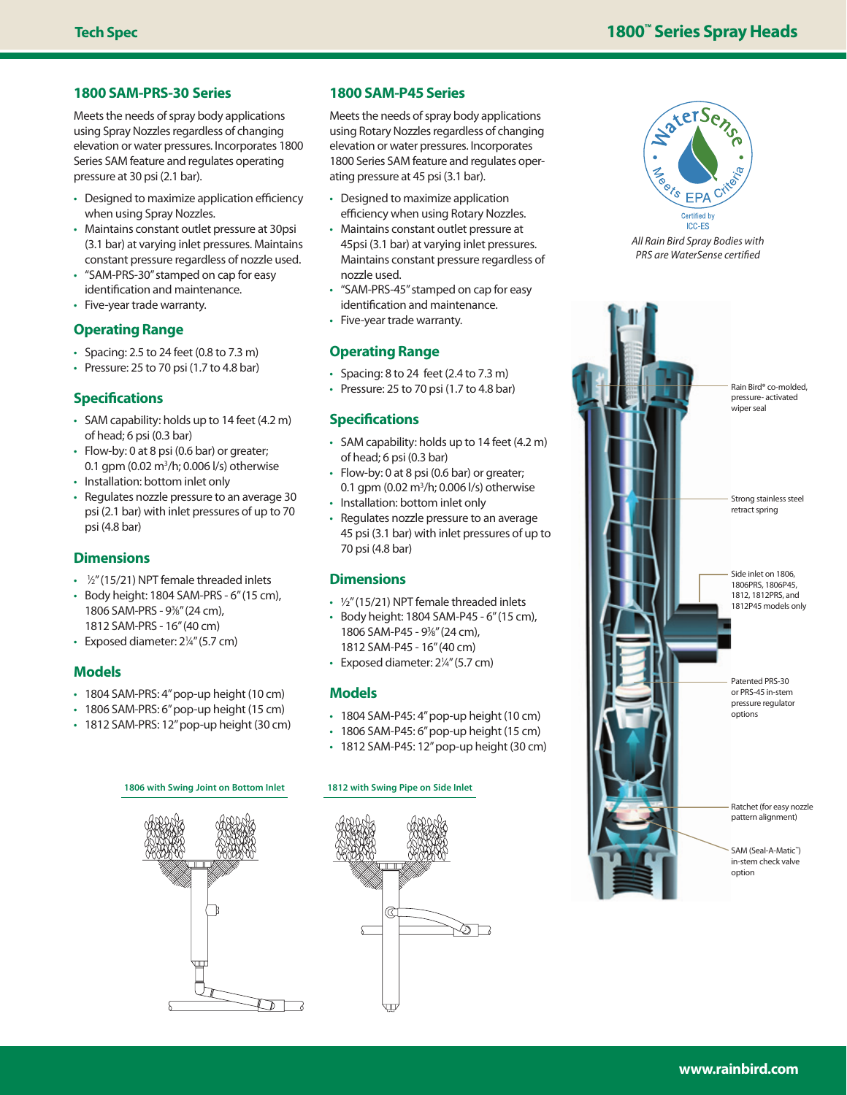#### **1800 SAM-PRS-30 Series**

Meets the needs of spray body applications using Spray Nozzles regardless of changing elevation or water pressures. Incorporates 1800 Series SAM feature and regulates operating pressure at 30 psi (2.1 bar).

- Designed to maximize application efficiency when using Spray Nozzles.
- Maintains constant outlet pressure at 30psi (3.1 bar) at varying inlet pressures. Maintains constant pressure regardless of nozzle used.
- "SAM-PRS-30" stamped on cap for easy identification and maintenance.
- Five-year trade warranty.

#### **Operating Range**

- Spacing: 2.5 to 24 feet (0.8 to 7.3 m)
- $\cdot$  Pressure: 25 to 70 psi (1.7 to 4.8 bar)

## **Specifications**

- SAM capability: holds up to 14 feet (4.2 m) of head; 6 psi (0.3 bar)
- Flow-by: 0 at 8 psi (0.6 bar) or greater; 0.1 gpm (0.02 m<sup>3</sup>/h; 0.006 l/s) otherwise
- Installation: bottom inlet only
- Regulates nozzle pressure to an average 30 psi (2.1 bar) with inlet pressures of up to 70 psi (4.8 bar)

#### **Dimensions**

- 1/<sub>2</sub>" (15/21) NPT female threaded inlets
- Body height: 1804 SAM-PRS 6" (15 cm), 1806 SAM-PRS - 93 ⁄8" (24 cm), 1812 SAM-PRS - 16" (40 cm)
- Exposed diameter: 2<sup>1/4"</sup> (5.7 cm)

## **Models**

- 1804 SAM-PRS: 4" pop-up height (10 cm)
- 1806 SAM-PRS: 6" pop-up height (15 cm)
- 1812 SAM-PRS: 12" pop-up height (30 cm)
	- R

#### **1800 SAM-P45 Series**

Meets the needs of spray body applications using Rotary Nozzles regardless of changing elevation or water pressures. Incorporates 1800 Series SAM feature and regulates operating pressure at 45 psi (3.1 bar).

- Designed to maximize application efficiency when using Rotary Nozzles.
- Maintains constant outlet pressure at 45psi (3.1 bar) at varying inlet pressures. Maintains constant pressure regardless of nozzle used.
- "SAM-PRS-45" stamped on cap for easy identification and maintenance.
- Five-year trade warranty.

### **Operating Range**

- Spacing: 8 to 24 feet (2.4 to 7.3 m)
- Pressure: 25 to 70 psi (1.7 to 4.8 bar)

### **Specifications**

- SAM capability: holds up to 14 feet (4.2 m) of head; 6 psi (0.3 bar)
- Flow-by: 0 at 8 psi (0.6 bar) or greater; 0.1 gpm (0.02 m<sup>3</sup>/h; 0.006 l/s) otherwise
- Installation: bottom inlet only
- Regulates nozzle pressure to an average 45 psi (3.1 bar) with inlet pressures of up to 70 psi (4.8 bar)

#### **Dimensions**

- ½" (15/21) NPT female threaded inlets
- Body height: 1804 SAM-P45 6" (15 cm), 1806 SAM-P45 - 93 ⁄8" (24 cm), 1812 SAM-P45 - 16" (40 cm)
- Exposed diameter: 21/4" (5.7 cm)

#### **Models**

- 1804 SAM-P45: 4" pop-up height (10 cm)
- 1806 SAM-P45: 6" pop-up height (15 cm)
- 1812 SAM-P45: 12" pop-up height (30 cm)

#### **1806 with Swing Joint on Bottom Inlet 1812 with Swing Pipe on Side Inlet**